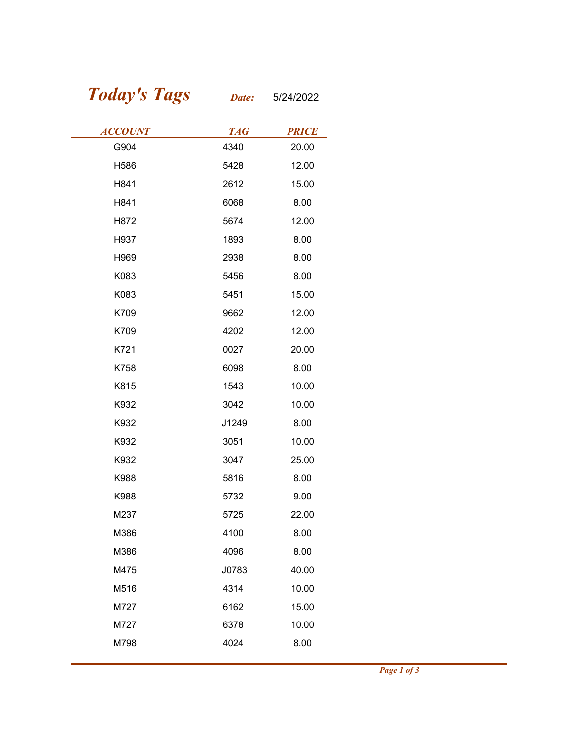## Today's Tags Date: 5/24/2022

| <b>Today's Tags</b> | Date:      | 5/24/2022    |
|---------------------|------------|--------------|
| <b>ACCOUNT</b>      | <b>TAG</b> | <b>PRICE</b> |
| G904                | 4340       | 20.00        |
| H586                | 5428       | 12.00        |
| H841                | 2612       | 15.00        |
| H841                | 6068       | 8.00         |
| H872                | 5674       | 12.00        |
| H937                | 1893       | 8.00         |
| H969                | 2938       | 8.00         |
| K083                | 5456       | 8.00         |
| K083                | 5451       | 15.00        |
| K709                | 9662       | 12.00        |
| K709                | 4202       | 12.00        |
| K721                | 0027       | 20.00        |
| K758                | 6098       | 8.00         |
| K815                | 1543       | 10.00        |
| K932                | 3042       | 10.00        |
| K932                | J1249      | 8.00         |
| K932                | 3051       | 10.00        |
| K932                | 3047       | 25.00        |
| K988                | 5816       | 8.00         |
| K988                | 5732       | 9.00         |
| M237                | 5725       | 22.00        |
| M386                | 4100       | 8.00         |
| M386                | 4096       | 8.00         |
| M475                | J0783      | 40.00        |
| M516                | 4314       | 10.00        |
| M727                | 6162       | 15.00        |
| M727                | 6378       | 10.00        |
| M798                | 4024       | 8.00         |
|                     |            |              |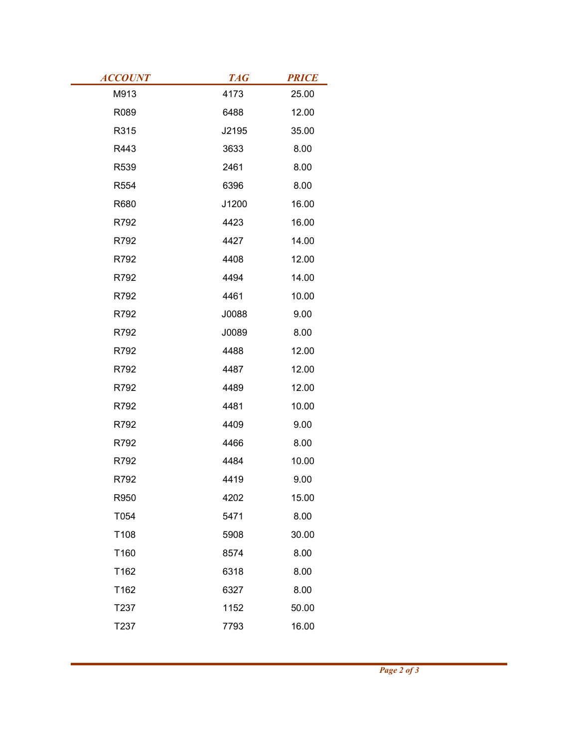| <b>ACCOUNT</b><br>M913 | <b>TAG</b><br>4173 | <b>PRICE</b>   |  |
|------------------------|--------------------|----------------|--|
| R089                   | 6488               | 25.00<br>12.00 |  |
| R315                   | J2195              | 35.00          |  |
| R443                   | 3633               | 8.00           |  |
| R539                   | 2461               | 8.00           |  |
| R554                   | 6396               | 8.00           |  |
| R680                   | J1200              | 16.00          |  |
| R792                   | 4423               | 16.00          |  |
| R792                   | 4427               | 14.00          |  |
| R792                   | 4408               | 12.00          |  |
| R792                   | 4494               | 14.00          |  |
| R792                   | 4461               | 10.00          |  |
| R792                   | J0088              | 9.00           |  |
| R792                   | J0089              | 8.00           |  |
| R792                   | 4488               | 12.00          |  |
| R792                   | 4487               | 12.00          |  |
| R792                   | 4489               | 12.00          |  |
| R792                   | 4481               | 10.00          |  |
| R792                   | 4409               | 9.00           |  |
| R792                   | 4466               | 8.00           |  |
| R792                   | 4484               | 10.00          |  |
| R792                   | 4419               | 9.00           |  |
| R950                   | 4202               | 15.00          |  |
| T054                   | 5471               | 8.00           |  |
| T108                   | 5908               | 30.00          |  |
| T160                   | 8574               | 8.00           |  |
| T162                   | 6318               | 8.00           |  |
| T162                   | 6327               | 8.00           |  |
| T237                   | 1152               | 50.00          |  |
| T237                   | 7793               | 16.00          |  |